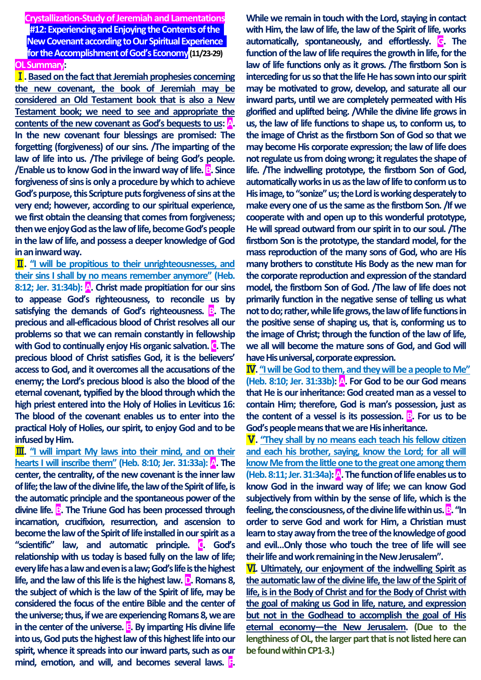**Crystallization-Study of Jeremiah and Lamentations #12: Experiencing and Enjoying the Contents of the New Covenant according to Our Spiritual Experience for the Accomplishment of God's Economy(11/23-29) OL Summary:**

Ⅰ**. Basedon the fact that Jeremiah prophesies concerning the new covenant, the book of Jeremiah may be considered an Old Testament book that is also a New Testament book; we need to see and appropriate the contents of the new covenant as God's bequests to us: A. In the new covenant four blessings are promised: The forgetting (forgiveness) of our sins. /The imparting of the law of life into us. /The privilege of being God's people. /Enable us to know God in the inward way of life. B. Since forgiveness of sins is only a procedure by which to achieve God's purpose, this Scripture puts forgiveness of sins at the very end; however, according to our spiritual experience, we first obtain the cleansing that comes from forgiveness; then we enjoy God as the law of life, become God's people in the law of life, and possess a deeper knowledge of God in an inward way.**

Ⅱ**. "I will be propitious to their unrighteousnesses, and their sins I shall by no means remember anymore" (Heb. 8:12; Jer. 31:34b): A. Christ made propitiation for our sins to appease God's righteousness, to reconcile us by satisfying the demands of God's righteousness. B. The precious and all-efficacious blood of Christ resolves all our problems so that we can remain constantly in fellowship**  with God to continually enjoy His organic salvation. **C**. The **precious blood of Christ satisfies God, it is the believers' access to God, and it overcomes all the accusations of the enemy; the Lord's precious blood is also the blood of the eternal covenant, typified by the blood through which the high priest entered into the Holy of Holies in Leviticus 16: The blood of the covenant enables us to enter into the practical Holy of Holies, our spirit, to enjoy God and to be infused by Him.**

**III.** "I will impart My laws into their mind, and on their **hearts I will inscribe them" (Heb. 8:10; Jer. 31:33a): A. The center, the centrality, of the new covenant is the inner law of life; the law of the divine life, the law of the Spirit of life, is the automatic principle and the spontaneous power of the**  divine life. **B**. The Triune God has been processed through **incarnation, crucifixion, resurrection, and ascension to become the law of the Spirit of life installed in our spirit as a "scientific" law, and automatic principle. C. God's relationship with us today is based fully on the law of life; every life has a law and even is a law; God's life is the highest life, and the law of this life is the highest law. D. Romans 8, the subject of which is the law of the Spirit of life, may be considered the focus of the entire Bible and the center of the universe; thus, if we are experiencing Romans 8, we are in the center of the universe. E. By imparting His divine life into us, God puts the highest law of this highest life into our spirit, whence it spreads into our inward parts, such as our mind, emotion, and will, and becomes several laws. F.** 

**While we remain in touch with the Lord, staying in contact with Him, the law of life, the law of the Spirit of life, works automatically, spontaneously, and effortlessly. G. The function of the law of life requires the growth in life, for the law of life functions only as it grows. /The firstborn Son is interceding for us so that the life He has sown into our spirit may be motivated to grow, develop, and saturate all our inward parts, until we are completely permeated with His glorified and uplifted being. /While the divine life grows in us, the law of life functions to shape us, to conform us, to the image of Christ as the firstborn Son of God so that we may become His corporate expression; the law of life does**  not regulate us from doing wrong; it regulates the shape of **life. /The indwelling prototype, the firstborn Son of God, automatically works in us as the law of life to conform us to His image, to "sonize" us; the Lord is working desperately to make every one of us the same as the firstborn Son. /If we cooperate with and open up to this wonderful prototype, He will spread outward from our spirit in to our soul. /The firstborn Son is the prototype, the standard model, for the mass reproduction of the many sons of God, who are His many brothers to constitute His Body as the new man for the corporate reproduction and expression of the standard model, the firstborn Son of God. /The law of life does not primarily function in the negative sense of telling us what not to do; rather, while life grows, the law of life functions in the positive sense of shaping us, that is, conforming us to the image of Christ; through the function of the law of life, we all will become the mature sons of God, and God will have His universal, corporate expression.**

Ⅳ**. "I will be God to them, and they will be a people to Me" (Heb. 8:10; Jer. 31:33b): A. For God to be our God means that He is our inheritance: God created man as a vessel to contain Him; therefore, God is man's possession, just as the content of a vessel is its possession. B. For us to be God's people means that we are His inheritance.**

Ⅴ**. "They shall by no means each teach his fellow citizen and each his brother, saying, know the Lord; for all will know Me from the little one to the great one among them (Heb. 8:11; Jer. 31:34a): A. The function of life enables us to know God in the inward way of life; we can know God subjectively from within by the sense of life, which is the feeling, the consciousness, of the divine life within us. B. "In order to serve God and work for Him, a Christian must learn to stay away from the tree of the knowledge of good and evil…Only those who touch the tree of life will see their life and work remaining in the New Jerusalem".**

Ⅵ**. Ultimately, our enjoyment of the indwelling Spirit as the automatic law of the divine life, the law of the Spirit of life, is in the Body of Christ and for the Body of Christ with the goal of making us God in life, nature, and expression but not in the Godhead to accomplish the goal of His eternal economy—the New Jerusalem. (Due to the lengthiness of OL, the larger part that is not listed here can be foundwithin CP1-3.)**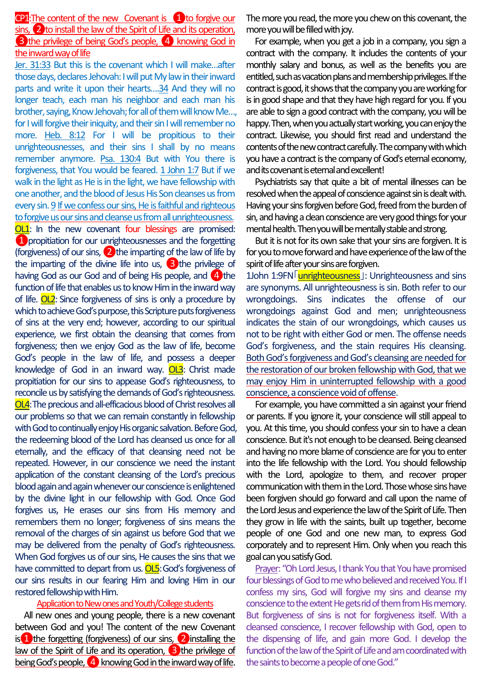$CP1$ :The content of the new Covenant is  $\left(1\right)$  to forgive our sins, 2 to install the law of the Spirit of Life and its operation, **3** the privilege of being God's people, 4 knowing God in the inward way of life

Jer. 31:33 But this is the covenant which I will make…after those days, declares Jehovah: I will put My law in their inward parts and write it upon their hearts….34 And they will no longer teach, each man his neighbor and each man his brother, saying, Know Jehovah; for all of them will know Me…, for I will forgive their iniquity, and their sin I will remember no more. Heb. 8:12 For I will be propitious to their unrighteousnesses, and their sins I shall by no means remember anymore. Psa. 130:4 But with You there is forgiveness, that You would be feared. 1 John 1:7 But if we walk in the light as He is in the light, we have fellowship with one another, and the blood of Jesus His Son cleanses us from every sin. 9 If we confess our sins, He is faithful and righteous to forgive us our sins and cleanse us from all unrighteousness. OL1: In the new covenant four blessings are promised: *C* propitiation for our unrighteousnesses and the forgetting (forgiveness) of our sins, 2 the imparting of the law of life by the imparting of the divine life into us,  $\bigotimes$  the privilege of having God as our God and of being His people, and  $\overline{4}$  the function of life that enables us to know Him in the inward way of life. OL2: Since forgiveness of sins is only a procedure by which to achieve God's purpose, this Scripture puts forgiveness of sins at the very end; however, according to our spiritual experience, we first obtain the cleansing that comes from forgiveness; then we enjoy God as the law of life, become God's people in the law of life, and possess a deeper knowledge of God in an inward way. OL3: Christ made propitiation for our sins to appease God's righteousness, to reconcile us by satisfying the demands of God's righteousness. OL4:The precious and all-efficacious blood of Christ resolves all our problems so that we can remain constantly in fellowship with God to continually enjoy His organic salvation. Before God, the redeeming blood of the Lord has cleansed us once for all eternally, and the efficacy of that cleansing need not be repeated. However, in our conscience we need the instant application of the constant cleansing of the Lord's precious blood again and again whenever our conscience is enlightened by the divine light in our fellowship with God. Once God forgives us, He erases our sins from His memory and remembers them no longer; forgiveness of sins means the removal of the charges of sin against us before God that we may be delivered from the penalty of God's righteousness. When God forgives us of our sins, He causes the sins that we have committed to depart from us. **OL5**: God's forgiveness of our sins results in our fearing Him and loving Him in our restored fellowship with Him.

## Application to New ones and Youth/College students

All new ones and young people, there is a new covenant between God and you! The content of the new Covenant is  $\Box$  the forgetting (forgiveness) of our sins,  $\Box$  installing the law of the Spirit of Life and its operation,  $\bigotimes$  the privilege of being God's people,  $\overline{4}$  knowing God in the inward way of life.

The more you read, the more you chew on this covenant, the more you will be filled with joy.

For example, when you get a job in a company, you sign a contract with the company. It includes the contents of your monthly salary and bonus, as well as the benefits you are entitled, such as vacation plans and membership privileges. If the contract is good, it shows that the company you are working for is in good shape and that they have high regard for you. If you are able to sign a good contract with the company, you will be happy. Then, when you actually start working, you can enjoy the contract. Likewise, you should first read and understand the contents of the new contract carefully. The company with which you have a contract is the company of God's eternal economy, and its covenant is eternal and excellent!

Psychiatrists say that quite a bit of mental illnesses can be resolved when the appeal of conscience against sin is dealt with. Having your sins forgiven before God, freed from the burden of sin, and having a clean conscience are very good things for your mental health. Then you will be mentally stable and strong.

But it is not for its own sake that your sins are forgiven. It is for you to move forward and have experience of the law of the spirit of life after your sins are forgiven.

1John 1:9FN unrighteousness ]: Unrighteousness and sins are synonyms. All unrighteousness is sin. Both refer to our wrongdoings. Sins indicates the offense of our wrongdoings against God and men; unrighteousness indicates the stain of our wrongdoings, which causes us not to be right with either God or men. The offense needs God's forgiveness, and the stain requires His cleansing. Both God's forgiveness and God's cleansing are needed for the restoration of our broken fellowship with God, that we may enjoy Him in uninterrupted fellowship with a good conscience, a conscience void of offense.

For example, you have committed a sin against your friend or parents. If you ignore it, your conscience will still appeal to you. At this time, you should confess your sin to have a clean conscience. But it's not enough to be cleansed. Being cleansed and having no more blame of conscience are for you to enter into the life fellowship with the Lord. You should fellowship with the Lord, apologize to them, and recover proper communication with them in the Lord. Those whose sins have been forgiven should go forward and call upon the name of the Lord Jesus and experience the law of the Spirit of Life. Then they grow in life with the saints, built up together, become people of one God and one new man, to express God corporately and to represent Him. Only when you reach this goal can you satisfy God.

Prayer: "Oh Lord Jesus, I thank You that You have promised four blessings of God to me who believed and received You. If I confess my sins, God will forgive my sins and cleanse my conscience to the extent He gets rid of them from His memory. But forgiveness of sins is not for forgiveness itself. With a cleansed conscience, I recover fellowship with God, open to the dispensing of life, and gain more God. I develop the function of the law of the Spirit of Life and am coordinated with the saints to become a people of one God."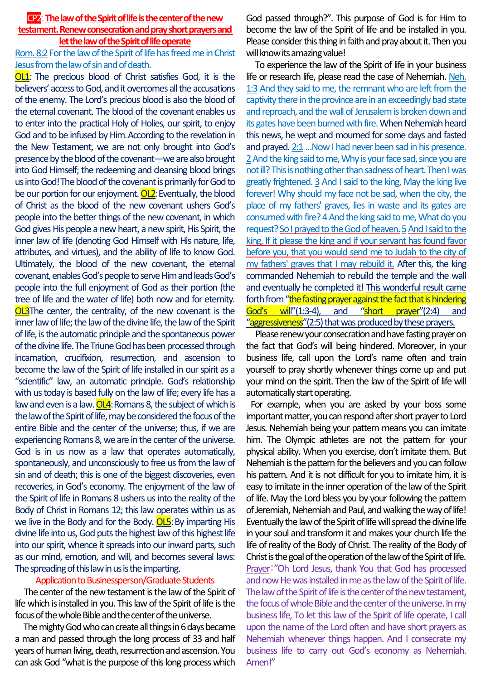## CP2: **The law of the Spirit of life is the center of the new testament. Renew consecration and pray short prayers and let the law of the Spirit of life operate**

Rom. 8:2 For the law of the Spirit of life has freed me in Christ Jesus from the law of sin and of death.

**OL1**: The precious blood of Christ satisfies God, it is the believers' access to God, and it overcomes all the accusations of the enemy. The Lord's precious blood is also the blood of the eternal covenant. The blood of the covenant enables us to enter into the practical Holy of Holies, our spirit, to enjoy God and to be infused by Him.According to the revelation in the New Testament, we are not only brought into God's presence by the blood of the covenant—we are also brought into God Himself; the redeeming and cleansing blood brings us into God!The blood of the covenant is primarily for God to be our portion for our enjoyment. OL2: Eventually, the blood of Christ as the blood of the new covenant ushers God's people into the better things of the new covenant, in which God gives His people a new heart, a new spirit, His Spirit, the inner law of life (denoting God Himself with His nature, life, attributes, and virtues), and the ability of life to know God. Ultimately, the blood of the new covenant, the eternal covenant, enables God's people to serve Him and leads God's people into the full enjoyment of God as their portion (the tree of life and the water of life) both now and for eternity. OL3The center, the centrality, of the new covenant is the inner law of life; the law of the divine life, the law of the Spirit of life, is the automatic principle and the spontaneous power of the divine life. The Triune God has been processed through incarnation, crucifixion, resurrection, and ascension to become the law of the Spirit of life installed in our spirit as a "scientific" law, an automatic principle. God's relationship with us today is based fully on the law of life; every life has a law and even is a law.  $OL4$ : Romans 8, the subject of which is the law of the Spirit of life, may be considered the focus of the entire Bible and the center of the universe; thus, if we are experiencing Romans 8, we are in the center of the universe. God is in us now as a law that operates automatically, spontaneously, and unconsciously to free us from the law of sin and of death; this is one of the biggest discoveries, even recoveries, in God's economy. The enjoyment of the law of the Spirit of life in Romans 8 ushers us into the reality of the Body of Christ in Romans 12; this law operates within us as we live in the Body and for the Body. OL5: By imparting His divine life into us, God puts the highest law of this highest life into our spirit, whence it spreads into our inward parts, such as our mind, emotion, and will, and becomes several laws: The spreading of this law in us is the imparting.

## Application to Businessperson/Graduate Students

The center of the new testament is the law of the Spirit of life which is installed in you. This law of the Spirit of life is the focus of the whole Bible and the center of the universe.

The mighty God who can create all things in 6 days became a man and passed through the long process of 33 and half years of human living, death, resurrection and ascension. You can ask God "what is the purpose of this long process which

God passed through?". This purpose of God is for Him to become the law of the Spirit of life and be installed in you. Please consider this thing in faith and pray about it. Then you will know its amazing value!

To experience the law of the Spirit of life in your business life or research life, please read the case of Nehemiah. Neh. 1:3 And they said to me, the remnant who are left from the captivity there in the province are in an exceedingly bad state and reproach, and the wall of Jerusalem is broken down and its gates have been burned with fire. When Nehemiah heard this news, he wept and mourned for some days and fasted and prayed. 2:1…Now I had never been sad in his presence. 2And the king said to me, Why is your face sad, since you are not ill? This is nothing other than sadness of heart. Then I was greatly frightened. 3 And I said to the king, May the king live forever! Why should my face not be sad, when the city, the place of my fathers' graves, lies in waste and its gates are consumed with fire? 4And the king said to me, What do you request? So I prayed to the God of heaven.5And I said to the king, If it please the king and if your servant has found favor before you, that you would send me to Judah to the city of my fathers' graves that I may rebuild it. After this, the king commanded Nehemiah to rebuild the temple and the wall and eventually he completed it! This wonderful result came forth from "the fasting prayer against the fact that is hindering God's will"(1:3-4), and "short prayer"(2:4) and "aggressiveness" (2:5) that was produced by these prayers.

Please renew your consecration and have fasting prayer on the fact that God's will being hindered. Moreover, in your business life, call upon the Lord's name often and train yourself to pray shortly whenever things come up and put your mind on the spirit. Then the law of the Spirit of life will automatically start operating.

For example, when you are asked by your boss some important matter, you can respond after short prayer to Lord Jesus. Nehemiah being your pattern means you can imitate him. The Olympic athletes are not the pattern for your physical ability. When you exercise, don't imitate them. But Nehemiah is the pattern for the believers and you can follow his pattern. And it is not difficult for you to imitate him, it is easy to imitate in the inner operation of the law of the Spirit of life. May the Lord bless you by your following the pattern of Jeremiah, Nehemiah and Paul, and walking the way of life! Eventually the law of the Spirit of life will spread the divine life in your soul and transform it and makes your church life the life of reality of the Body of Christ. The reality of the Body of Christ is the goal of the operation of the law of the Spirit of life. Prayer:"Oh Lord Jesus, thank You that God has processed and now He was installed in me as the law of the Spirit of life. The law of the Spirit of life is the center of the new testament, the focus of whole Bible and the center of the universe. In my business life, To let this law of the Spirit of life operate, I call upon the name of the Lord often and have short prayers as Nehemiah whenever things happen. And I consecrate my business life to carry out God's economy as Nehemiah. Amen!"